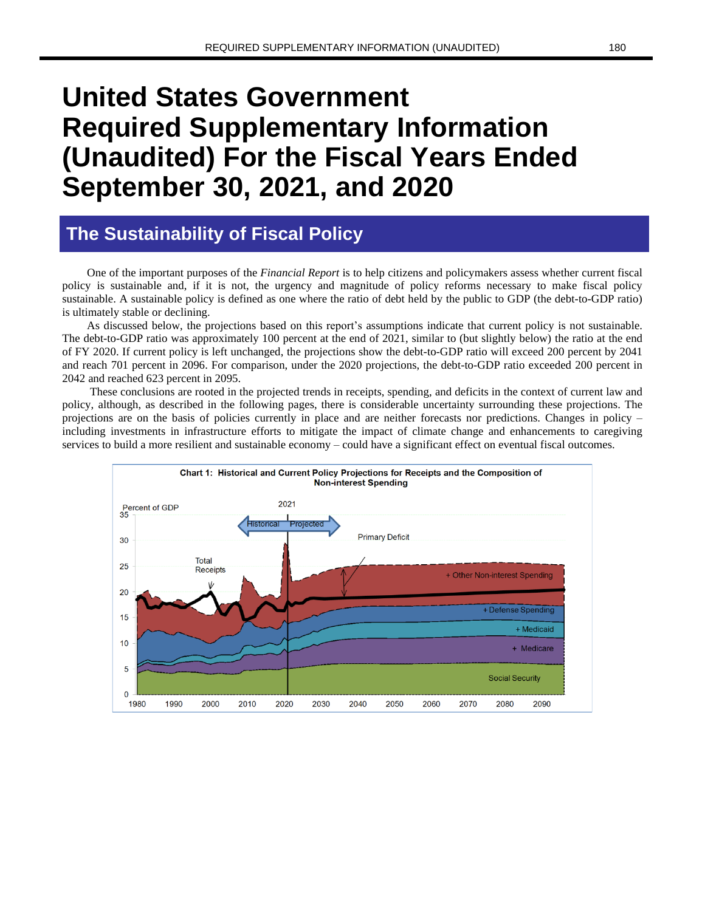# **United States Government Required Supplementary Information (Unaudited) For the Fiscal Years Ended September 30, 2021, and 2020**

# **The Sustainability of Fiscal Policy**

One of the important purposes of the *Financial Report* is to help citizens and policymakers assess whether current fiscal policy is sustainable and, if it is not, the urgency and magnitude of policy reforms necessary to make fiscal policy sustainable. A sustainable policy is defined as one where the ratio of debt held by the public to GDP (the debt-to-GDP ratio) is ultimately stable or declining.

As discussed below, the projections based on this report's assumptions indicate that current policy is not sustainable. The debt-to-GDP ratio was approximately 100 percent at the end of 2021, similar to (but slightly below) the ratio at the end of FY 2020. If current policy is left unchanged, the projections show the debt-to-GDP ratio will exceed 200 percent by 2041 and reach 701 percent in 2096. For comparison, under the 2020 projections, the debt-to-GDP ratio exceeded 200 percent in 2042 and reached 623 percent in 2095.

These conclusions are rooted in the projected trends in receipts, spending, and deficits in the context of current law and policy, although, as described in the following pages, there is considerable uncertainty surrounding these projections. The projections are on the basis of policies currently in place and are neither forecasts nor predictions. Changes in policy – including investments in infrastructure efforts to mitigate the impact of climate change and enhancements to caregiving services to build a more resilient and sustainable economy – could have a significant effect on eventual fiscal outcomes.

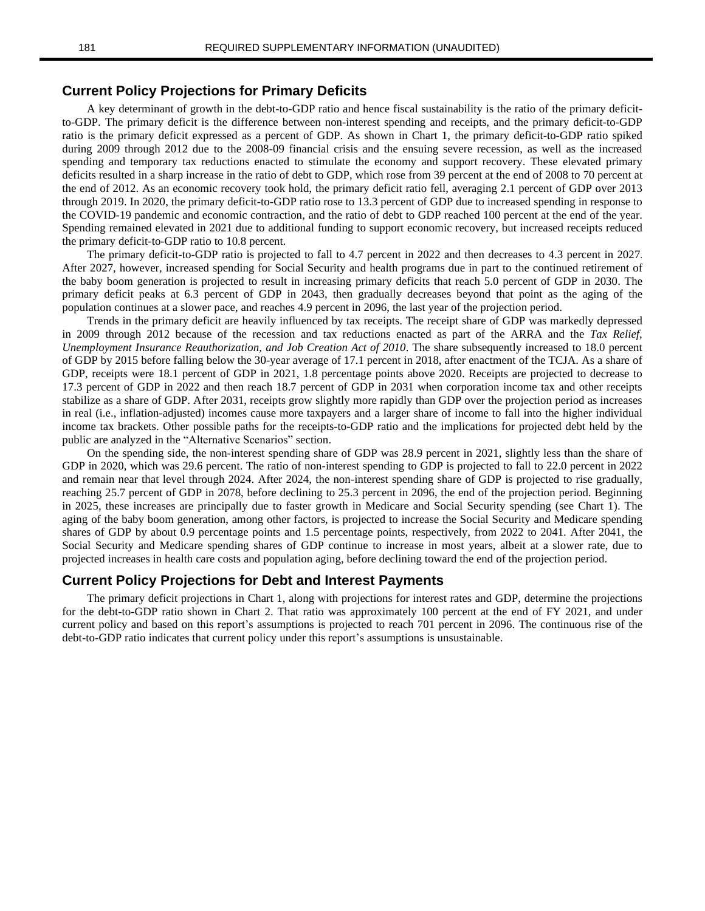#### **Current Policy Projections for Primary Deficits**

A key determinant of growth in the debt-to-GDP ratio and hence fiscal sustainability is the ratio of the primary deficitto-GDP. The primary deficit is the difference between non-interest spending and receipts, and the primary deficit-to-GDP ratio is the primary deficit expressed as a percent of GDP. As shown in Chart 1, the primary deficit-to-GDP ratio spiked during 2009 through 2012 due to the 2008-09 financial crisis and the ensuing severe recession, as well as the increased spending and temporary tax reductions enacted to stimulate the economy and support recovery. These elevated primary deficits resulted in a sharp increase in the ratio of debt to GDP, which rose from 39 percent at the end of 2008 to 70 percent at the end of 2012. As an economic recovery took hold, the primary deficit ratio fell, averaging 2.1 percent of GDP over 2013 through 2019. In 2020, the primary deficit-to-GDP ratio rose to 13.3 percent of GDP due to increased spending in response to the COVID-19 pandemic and economic contraction, and the ratio of debt to GDP reached 100 percent at the end of the year. Spending remained elevated in 2021 due to additional funding to support economic recovery, but increased receipts reduced the primary deficit-to-GDP ratio to 10.8 percent.

The primary deficit-to-GDP ratio is projected to fall to 4.7 percent in 2022 and then decreases to 4.3 percent in 2027. After 2027, however, increased spending for Social Security and health programs due in part to the continued retirement of the baby boom generation is projected to result in increasing primary deficits that reach 5.0 percent of GDP in 2030. The primary deficit peaks at 6.3 percent of GDP in 2043, then gradually decreases beyond that point as the aging of the population continues at a slower pace, and reaches 4.9 percent in 2096, the last year of the projection period.

Trends in the primary deficit are heavily influenced by tax receipts. The receipt share of GDP was markedly depressed in 2009 through 2012 because of the recession and tax reductions enacted as part of the ARRA and the *Tax Relief, Unemployment Insurance Reauthorization, and Job Creation Act of 2010*. The share subsequently increased to 18.0 percent of GDP by 2015 before falling below the 30-year average of 17.1 percent in 2018, after enactment of the TCJA. As a share of GDP, receipts were 18.1 percent of GDP in 2021, 1.8 percentage points above 2020. Receipts are projected to decrease to 17.3 percent of GDP in 2022 and then reach 18.7 percent of GDP in 2031 when corporation income tax and other receipts stabilize as a share of GDP. After 2031, receipts grow slightly more rapidly than GDP over the projection period as increases in real (i.e., inflation-adjusted) incomes cause more taxpayers and a larger share of income to fall into the higher individual income tax brackets. Other possible paths for the receipts-to-GDP ratio and the implications for projected debt held by the public are analyzed in the "Alternative Scenarios" section.

On the spending side, the non-interest spending share of GDP was 28.9 percent in 2021, slightly less than the share of GDP in 2020, which was 29.6 percent. The ratio of non-interest spending to GDP is projected to fall to 22.0 percent in 2022 and remain near that level through 2024. After 2024, the non-interest spending share of GDP is projected to rise gradually, reaching 25.7 percent of GDP in 2078, before declining to 25.3 percent in 2096, the end of the projection period. Beginning in 2025, these increases are principally due to faster growth in Medicare and Social Security spending (see Chart 1). The aging of the baby boom generation, among other factors, is projected to increase the Social Security and Medicare spending shares of GDP by about 0.9 percentage points and 1.5 percentage points, respectively, from 2022 to 2041. After 2041, the Social Security and Medicare spending shares of GDP continue to increase in most years, albeit at a slower rate, due to projected increases in health care costs and population aging, before declining toward the end of the projection period.

#### **Current Policy Projections for Debt and Interest Payments**

The primary deficit projections in Chart 1, along with projections for interest rates and GDP, determine the projections for the debt-to-GDP ratio shown in Chart 2. That ratio was approximately 100 percent at the end of FY 2021, and under current policy and based on this report's assumptions is projected to reach 701 percent in 2096. The continuous rise of the debt-to-GDP ratio indicates that current policy under this report's assumptions is unsustainable.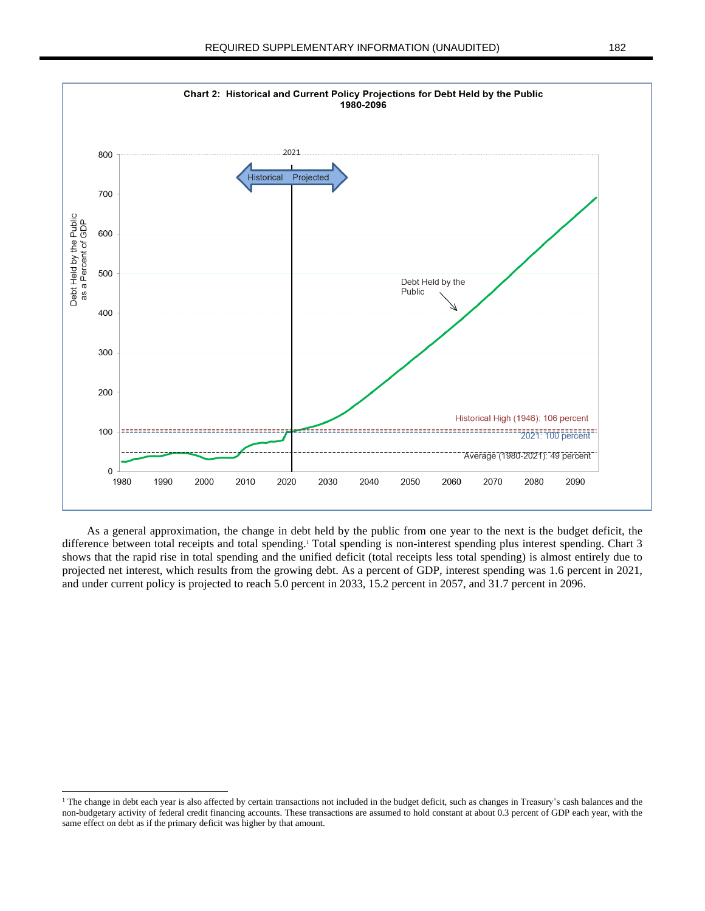

As a general approximation, the change in debt held by the public from one year to the next is the budget deficit, the difference between total receipts and total spending.<sup>1</sup> Total spending is non-interest spending plus interest spending. Chart 3 shows that the rapid rise in total spending and the unified deficit (total receipts less total spending) is almost entirely due to projected net interest, which results from the growing debt. As a percent of GDP, interest spending was 1.6 percent in 2021, and under current policy is projected to reach 5.0 percent in 2033, 15.2 percent in 2057, and 31.7 percent in 2096.

<sup>&</sup>lt;sup>1</sup> The change in debt each year is also affected by certain transactions not included in the budget deficit, such as changes in Treasury's cash balances and the non-budgetary activity of federal credit financing accounts. These transactions are assumed to hold constant at about 0.3 percent of GDP each year, with the same effect on debt as if the primary deficit was higher by that amount.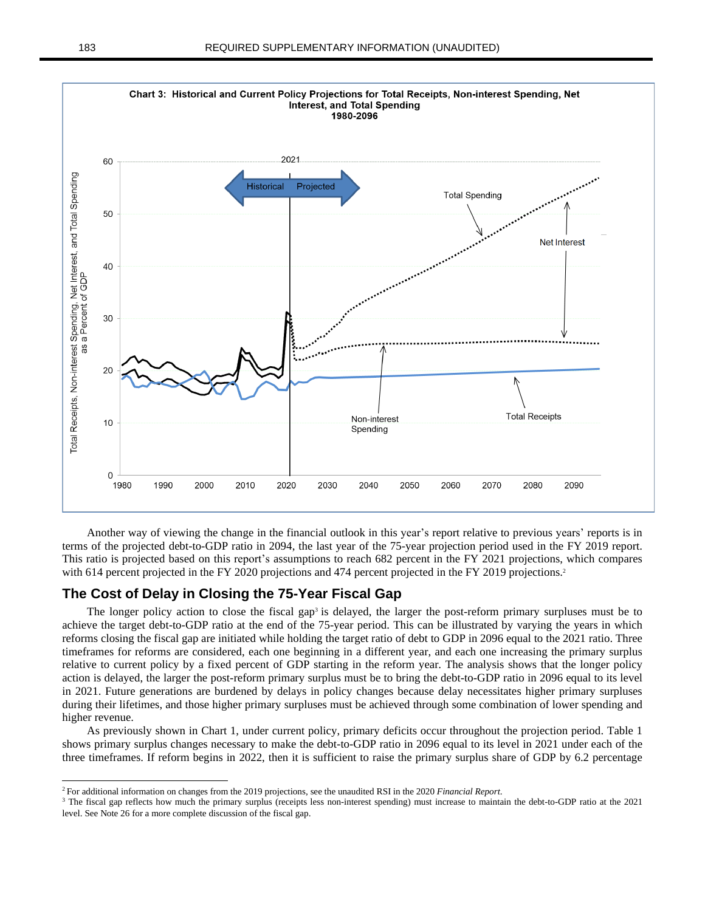

Another way of viewing the change in the financial outlook in this year's report relative to previous years' reports is in terms of the projected debt-to-GDP ratio in 2094, the last year of the 75-year projection period used in the FY 2019 report. This ratio is projected based on this report's assumptions to reach 682 percent in the FY 2021 projections, which compares with 614 percent projected in the FY 2020 projections and 474 percent projected in the FY 2019 projections.<sup>2</sup>

#### **The Cost of Delay in Closing the 75-Year Fiscal Gap**

The longer policy action to close the fiscal gap<sup>3</sup> is delayed, the larger the post-reform primary surpluses must be to achieve the target debt-to-GDP ratio at the end of the 75-year period. This can be illustrated by varying the years in which reforms closing the fiscal gap are initiated while holding the target ratio of debt to GDP in 2096 equal to the 2021 ratio. Three timeframes for reforms are considered, each one beginning in a different year, and each one increasing the primary surplus relative to current policy by a fixed percent of GDP starting in the reform year. The analysis shows that the longer policy action is delayed, the larger the post-reform primary surplus must be to bring the debt-to-GDP ratio in 2096 equal to its level in 2021. Future generations are burdened by delays in policy changes because delay necessitates higher primary surpluses during their lifetimes, and those higher primary surpluses must be achieved through some combination of lower spending and higher revenue.

As previously shown in Chart 1, under current policy, primary deficits occur throughout the projection period. Table 1 shows primary surplus changes necessary to make the debt-to-GDP ratio in 2096 equal to its level in 2021 under each of the three timeframes. If reform begins in 2022, then it is sufficient to raise the primary surplus share of GDP by 6.2 percentage

<sup>2</sup> For additional information on changes from the 2019 projections, see the unaudited RSI in the 2020 *Financial Report*.

<sup>&</sup>lt;sup>3</sup> The fiscal gap reflects how much the primary surplus (receipts less non-interest spending) must increase to maintain the debt-to-GDP ratio at the 2021 level. See Note 26 for a more complete discussion of the fiscal gap.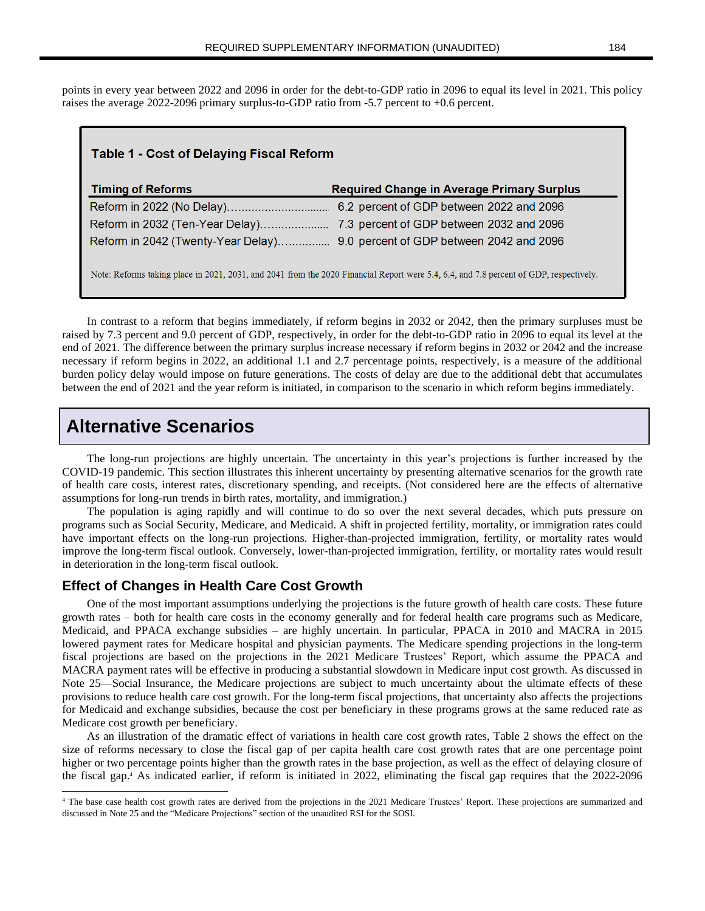points in every year between 2022 and 2096 in order for the debt-to-GDP ratio in 2096 to equal its level in 2021. This policy raises the average 2022-2096 primary surplus-to-GDP ratio from -5.7 percent to +0.6 percent.

#### **Table 1 - Cost of Delaying Fiscal Reform**

| <b>Timing of Reforms</b> | <b>Required Change in Average Primary Surplus</b> |
|--------------------------|---------------------------------------------------|
|                          |                                                   |
|                          |                                                   |
|                          |                                                   |
|                          |                                                   |

Note: Reforms taking place in 2021, 2031, and 2041 from the 2020 Financial Report were 5.4, 6.4, and 7.8 percent of GDP, respectively.

In contrast to a reform that begins immediately, if reform begins in 2032 or 2042, then the primary surpluses must be raised by 7.3 percent and 9.0 percent of GDP, respectively, in order for the debt-to-GDP ratio in 2096 to equal its level at the end of 2021. The difference between the primary surplus increase necessary if reform begins in 2032 or 2042 and the increase necessary if reform begins in 2022, an additional 1.1 and 2.7 percentage points, respectively, is a measure of the additional burden policy delay would impose on future generations. The costs of delay are due to the additional debt that accumulates between the end of 2021 and the year reform is initiated, in comparison to the scenario in which reform begins immediately.

# **Alternative Scenarios**

The long-run projections are highly uncertain. The uncertainty in this year's projections is further increased by the COVID-19 pandemic. This section illustrates this inherent uncertainty by presenting alternative scenarios for the growth rate of health care costs, interest rates, discretionary spending, and receipts. (Not considered here are the effects of alternative assumptions for long-run trends in birth rates, mortality, and immigration.)

The population is aging rapidly and will continue to do so over the next several decades, which puts pressure on programs such as Social Security, Medicare, and Medicaid. A shift in projected fertility, mortality, or immigration rates could have important effects on the long-run projections. Higher-than-projected immigration, fertility, or mortality rates would improve the long-term fiscal outlook. Conversely, lower-than-projected immigration, fertility, or mortality rates would result in deterioration in the long-term fiscal outlook.

#### **Effect of Changes in Health Care Cost Growth**

One of the most important assumptions underlying the projections is the future growth of health care costs. These future growth rates – both for health care costs in the economy generally and for federal health care programs such as Medicare, Medicaid, and PPACA exchange subsidies – are highly uncertain. In particular, PPACA in 2010 and MACRA in 2015 lowered payment rates for Medicare hospital and physician payments. The Medicare spending projections in the long-term fiscal projections are based on the projections in the 2021 Medicare Trustees' Report, which assume the PPACA and MACRA payment rates will be effective in producing a substantial slowdown in Medicare input cost growth. As discussed in Note 25—Social Insurance, the Medicare projections are subject to much uncertainty about the ultimate effects of these provisions to reduce health care cost growth. For the long-term fiscal projections, that uncertainty also affects the projections for Medicaid and exchange subsidies, because the cost per beneficiary in these programs grows at the same reduced rate as Medicare cost growth per beneficiary.

As an illustration of the dramatic effect of variations in health care cost growth rates, Table 2 shows the effect on the size of reforms necessary to close the fiscal gap of per capita health care cost growth rates that are one percentage point higher or two percentage points higher than the growth rates in the base projection, as well as the effect of delaying closure of the fiscal gap.<sup>4</sup> As indicated earlier, if reform is initiated in 2022, eliminating the fiscal gap requires that the 2022-2096

<sup>&</sup>lt;sup>4</sup> The base case health cost growth rates are derived from the projections in the 2021 Medicare Trustees' Report. These projections are summarized and discussed in Note 25 and the "Medicare Projections" section of the unaudited RSI for the SOSI.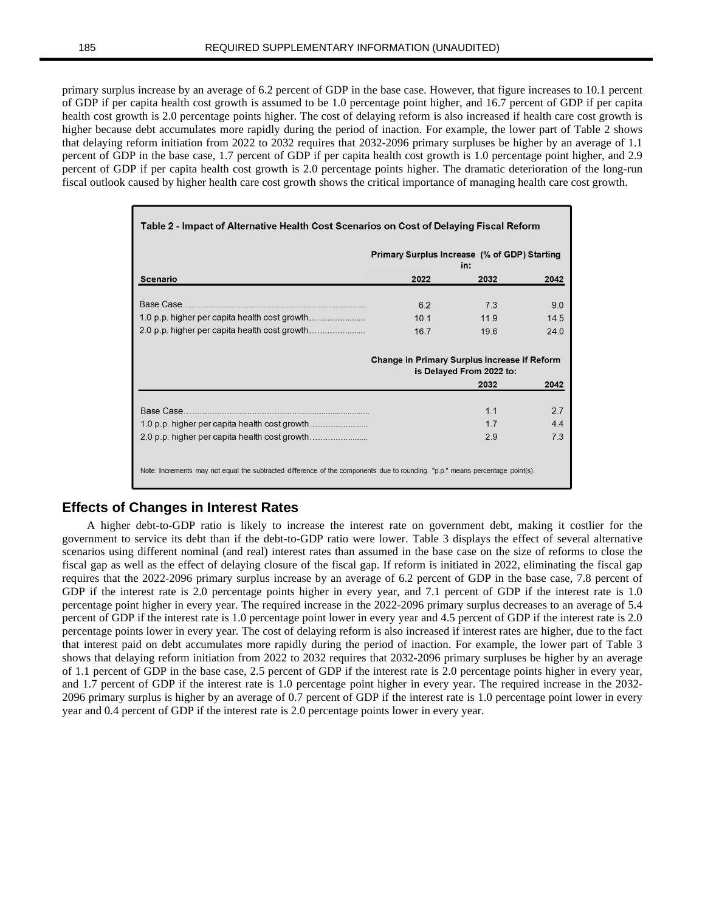primary surplus increase by an average of 6.2 percent of GDP in the base case. However, that figure increases to 10.1 percent of GDP if per capita health cost growth is assumed to be 1.0 percentage point higher, and 16.7 percent of GDP if per capita health cost growth is 2.0 percentage points higher. The cost of delaying reform is also increased if health care cost growth is higher because debt accumulates more rapidly during the period of inaction. For example, the lower part of Table 2 shows that delaying reform initiation from 2022 to 2032 requires that 2032-2096 primary surpluses be higher by an average of 1.1 percent of GDP in the base case, 1.7 percent of GDP if per capita health cost growth is 1.0 percentage point higher, and 2.9 percent of GDP if per capita health cost growth is 2.0 percentage points higher. The dramatic deterioration of the long-run fiscal outlook caused by higher health care cost growth shows the critical importance of managing health care cost growth.

| Table 2 - Impact of Alternative Health Cost Scenarios on Cost of Delaying Fiscal Reform |                                                                                 |              |             |
|-----------------------------------------------------------------------------------------|---------------------------------------------------------------------------------|--------------|-------------|
|                                                                                         | Primary Surplus Increase (% of GDP) Starting<br>in:                             |              |             |
| <b>Scenario</b>                                                                         | 2022                                                                            | 2032         | 2042        |
|                                                                                         | 6.2                                                                             | 7.3          | 9.0         |
|                                                                                         | 10.1<br>167                                                                     | 11.9<br>19.6 | 14.5<br>240 |
|                                                                                         |                                                                                 |              |             |
|                                                                                         | <b>Change in Primary Surplus Increase if Reform</b><br>is Delayed From 2022 to: |              |             |
|                                                                                         |                                                                                 | 2032         | 2042        |
|                                                                                         |                                                                                 | 11           | 27          |
|                                                                                         |                                                                                 | 17           | 4.4         |
|                                                                                         |                                                                                 | 2.9          | 73          |
|                                                                                         |                                                                                 |              |             |

#### **Effects of Changes in Interest Rates**

A higher debt-to-GDP ratio is likely to increase the interest rate on government debt, making it costlier for the government to service its debt than if the debt-to-GDP ratio were lower. Table 3 displays the effect of several alternative scenarios using different nominal (and real) interest rates than assumed in the base case on the size of reforms to close the fiscal gap as well as the effect of delaying closure of the fiscal gap. If reform is initiated in 2022, eliminating the fiscal gap requires that the 2022-2096 primary surplus increase by an average of 6.2 percent of GDP in the base case, 7.8 percent of GDP if the interest rate is 2.0 percentage points higher in every year, and 7.1 percent of GDP if the interest rate is 1.0 percentage point higher in every year. The required increase in the 2022-2096 primary surplus decreases to an average of 5.4 percent of GDP if the interest rate is 1.0 percentage point lower in every year and 4.5 percent of GDP if the interest rate is 2.0 percentage points lower in every year. The cost of delaying reform is also increased if interest rates are higher, due to the fact that interest paid on debt accumulates more rapidly during the period of inaction. For example, the lower part of Table 3 shows that delaying reform initiation from 2022 to 2032 requires that 2032-2096 primary surpluses be higher by an average of 1.1 percent of GDP in the base case, 2.5 percent of GDP if the interest rate is 2.0 percentage points higher in every year, and 1.7 percent of GDP if the interest rate is 1.0 percentage point higher in every year. The required increase in the 2032- 2096 primary surplus is higher by an average of 0.7 percent of GDP if the interest rate is 1.0 percentage point lower in every year and 0.4 percent of GDP if the interest rate is 2.0 percentage points lower in every year.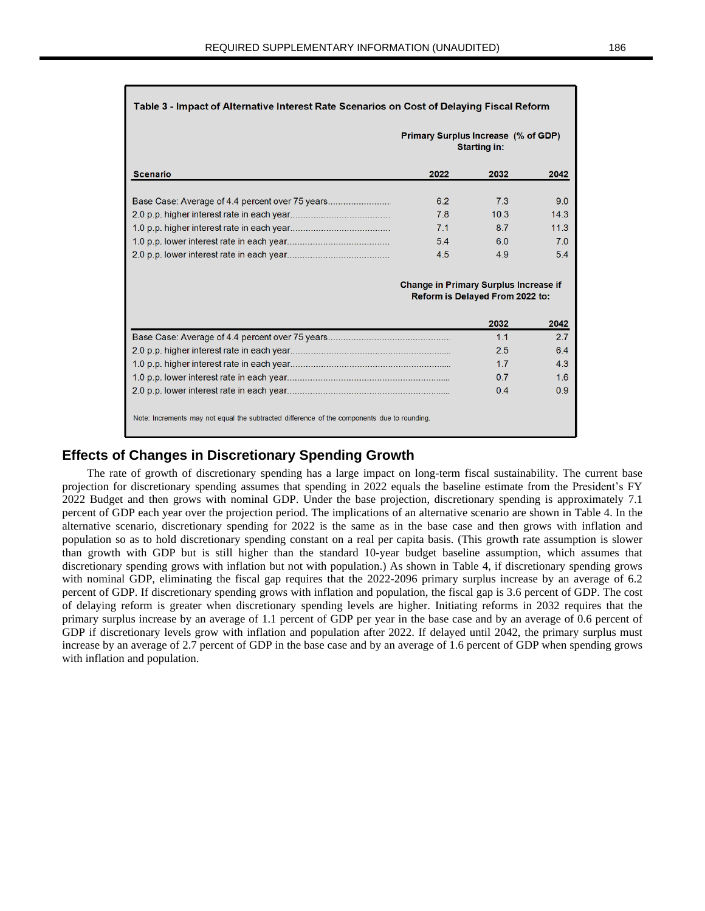| Table 3 - Impact of Alternative Interest Rate Scenarios on Cost of Delaying Fiscal Reform   |                                                                                 |             |             |  |
|---------------------------------------------------------------------------------------------|---------------------------------------------------------------------------------|-------------|-------------|--|
|                                                                                             | Primary Surplus Increase (% of GDP)<br><b>Starting in:</b>                      |             |             |  |
| <b>Scenario</b>                                                                             | 2022                                                                            | 2032        | 2042        |  |
| Base Case: Average of 4.4 percent over 75 years                                             | 6.2<br>7.8                                                                      | 7.3<br>10.3 | 9.0<br>14.3 |  |
|                                                                                             | 7.1<br>5.4                                                                      | 8.7<br>6.0  | 11.3<br>7.0 |  |
|                                                                                             | 4.5                                                                             | 4.9         | 5.4         |  |
|                                                                                             | <b>Change in Primary Surplus Increase if</b><br>Reform is Delayed From 2022 to: |             |             |  |
|                                                                                             |                                                                                 | 2032        | 2042        |  |
|                                                                                             |                                                                                 | 1.1         | 2.7         |  |
|                                                                                             |                                                                                 | 2.5         | 6.4         |  |
|                                                                                             |                                                                                 | 1.7         | 4.3         |  |
|                                                                                             |                                                                                 | 0.7         | 1.6         |  |
|                                                                                             |                                                                                 | 0.4         | 0.9         |  |
| Note: Increments may not equal the subtracted difference of the components due to rounding. |                                                                                 |             |             |  |

#### **Effects of Changes in Discretionary Spending Growth**

The rate of growth of discretionary spending has a large impact on long-term fiscal sustainability. The current base projection for discretionary spending assumes that spending in 2022 equals the baseline estimate from the President's FY 2022 Budget and then grows with nominal GDP. Under the base projection, discretionary spending is approximately 7.1 percent of GDP each year over the projection period. The implications of an alternative scenario are shown in Table 4. In the alternative scenario, discretionary spending for 2022 is the same as in the base case and then grows with inflation and population so as to hold discretionary spending constant on a real per capita basis. (This growth rate assumption is slower than growth with GDP but is still higher than the standard 10-year budget baseline assumption, which assumes that discretionary spending grows with inflation but not with population.) As shown in Table 4, if discretionary spending grows with nominal GDP, eliminating the fiscal gap requires that the 2022-2096 primary surplus increase by an average of 6.2 percent of GDP. If discretionary spending grows with inflation and population, the fiscal gap is 3.6 percent of GDP. The cost of delaying reform is greater when discretionary spending levels are higher. Initiating reforms in 2032 requires that the primary surplus increase by an average of 1.1 percent of GDP per year in the base case and by an average of 0.6 percent of GDP if discretionary levels grow with inflation and population after 2022. If delayed until 2042, the primary surplus must increase by an average of 2.7 percent of GDP in the base case and by an average of 1.6 percent of GDP when spending grows with inflation and population.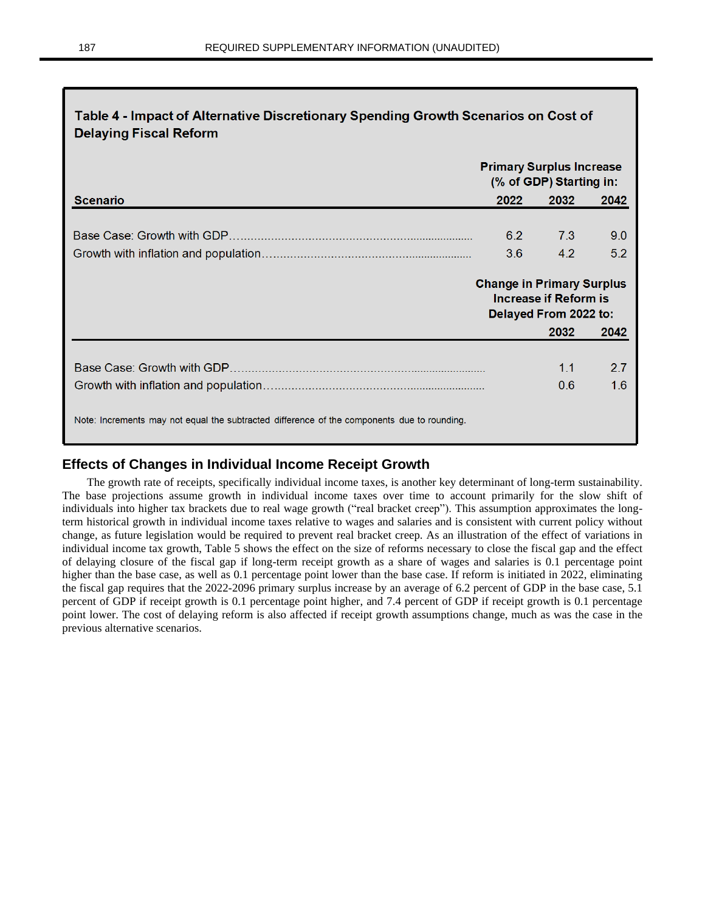| Table 4 - Impact of Alternative Discretionary Spending Growth Scenarios on Cost of<br><b>Delaying Fiscal Reform</b> |                                                                                    |           |          |  |
|---------------------------------------------------------------------------------------------------------------------|------------------------------------------------------------------------------------|-----------|----------|--|
|                                                                                                                     | <b>Primary Surplus Increase</b><br>(% of GDP) Starting in:                         |           |          |  |
| <b>Scenario</b>                                                                                                     | 2022                                                                               | 2032      | 2042     |  |
|                                                                                                                     | 6.2                                                                                | 7.3       | 9.0      |  |
|                                                                                                                     | 3.6                                                                                | 4.2       | 5.2      |  |
|                                                                                                                     | <b>Change in Primary Surplus</b><br>Increase if Reform is<br>Delayed From 2022 to: |           |          |  |
|                                                                                                                     |                                                                                    |           |          |  |
|                                                                                                                     |                                                                                    | 2032      | 2042     |  |
|                                                                                                                     |                                                                                    | 1.1<br>06 | 27<br>16 |  |

#### **Effects of Changes in Individual Income Receipt Growth**

The growth rate of receipts, specifically individual income taxes, is another key determinant of long-term sustainability. The base projections assume growth in individual income taxes over time to account primarily for the slow shift of individuals into higher tax brackets due to real wage growth ("real bracket creep"). This assumption approximates the longterm historical growth in individual income taxes relative to wages and salaries and is consistent with current policy without change, as future legislation would be required to prevent real bracket creep. As an illustration of the effect of variations in individual income tax growth, Table 5 shows the effect on the size of reforms necessary to close the fiscal gap and the effect of delaying closure of the fiscal gap if long-term receipt growth as a share of wages and salaries is 0.1 percentage point higher than the base case, as well as 0.1 percentage point lower than the base case. If reform is initiated in 2022, eliminating the fiscal gap requires that the 2022-2096 primary surplus increase by an average of 6.2 percent of GDP in the base case, 5.1 percent of GDP if receipt growth is 0.1 percentage point higher, and 7.4 percent of GDP if receipt growth is 0.1 percentage point lower. The cost of delaying reform is also affected if receipt growth assumptions change, much as was the case in the previous alternative scenarios.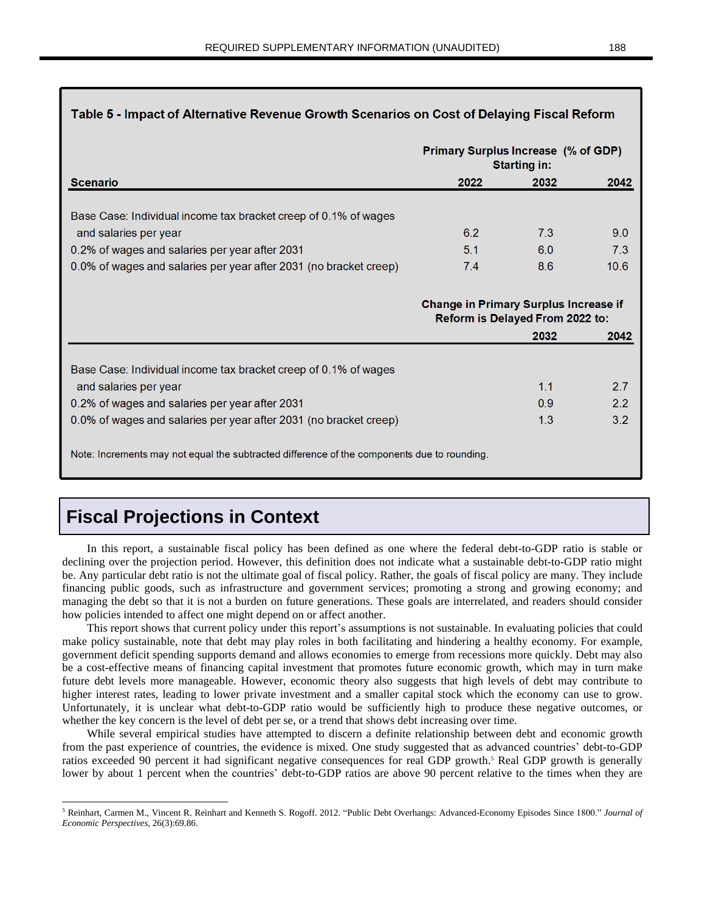| Table 5 - Impact of Alternative Revenue Growth Scenarios on Cost of Delaying Fiscal Reform  |                                                                                 |      |      |  |  |
|---------------------------------------------------------------------------------------------|---------------------------------------------------------------------------------|------|------|--|--|
|                                                                                             | Primary Surplus Increase (% of GDP)<br><b>Starting in:</b>                      |      |      |  |  |
| <b>Scenario</b>                                                                             | 2022                                                                            | 2032 | 2042 |  |  |
| Base Case: Individual income tax bracket creep of 0.1% of wages                             |                                                                                 |      |      |  |  |
| and salaries per year                                                                       | 62                                                                              | 7.3  | 9.0  |  |  |
| 0.2% of wages and salaries per year after 2031                                              | 5.1                                                                             | 6.0  | 7.3  |  |  |
| 0.0% of wages and salaries per year after 2031 (no bracket creep)                           | 7.4                                                                             | 8.6  | 10.6 |  |  |
|                                                                                             | <b>Change in Primary Surplus Increase if</b><br>Reform is Delayed From 2022 to: |      |      |  |  |
|                                                                                             |                                                                                 | 2032 | 2042 |  |  |
| Base Case: Individual income tax bracket creep of 0.1% of wages                             |                                                                                 |      |      |  |  |
| and salaries per year                                                                       |                                                                                 | 1.1  | 2.7  |  |  |
| 0.2% of wages and salaries per year after 2031                                              |                                                                                 | 0.9  | 2.2  |  |  |
| 0.0% of wages and salaries per year after 2031 (no bracket creep)                           |                                                                                 | 1.3  | 32   |  |  |
| Note: Increments may not equal the subtracted difference of the components due to rounding. |                                                                                 |      |      |  |  |

# **Fiscal Projections in Context**

In this report, a sustainable fiscal policy has been defined as one where the federal debt-to-GDP ratio is stable or declining over the projection period. However, this definition does not indicate what a sustainable debt-to-GDP ratio might be. Any particular debt ratio is not the ultimate goal of fiscal policy. Rather, the goals of fiscal policy are many. They include financing public goods, such as infrastructure and government services; promoting a strong and growing economy; and managing the debt so that it is not a burden on future generations. These goals are interrelated, and readers should consider how policies intended to affect one might depend on or affect another.

This report shows that current policy under this report's assumptions is not sustainable. In evaluating policies that could make policy sustainable, note that debt may play roles in both facilitating and hindering a healthy economy. For example, government deficit spending supports demand and allows economies to emerge from recessions more quickly. Debt may also be a cost-effective means of financing capital investment that promotes future economic growth, which may in turn make future debt levels more manageable. However, economic theory also suggests that high levels of debt may contribute to higher interest rates, leading to lower private investment and a smaller capital stock which the economy can use to grow. Unfortunately, it is unclear what debt-to-GDP ratio would be sufficiently high to produce these negative outcomes, or whether the key concern is the level of debt per se, or a trend that shows debt increasing over time.

While several empirical studies have attempted to discern a definite relationship between debt and economic growth from the past experience of countries, the evidence is mixed. One study suggested that as advanced countries' debt-to-GDP ratios exceeded 90 percent it had significant negative consequences for real GDP growth.<sup>5</sup> Real GDP growth is generally lower by about 1 percent when the countries' debt-to-GDP ratios are above 90 percent relative to the times when they are

<sup>5</sup> Reinhart, Carmen M., Vincent R. Reinhart and Kenneth S. Rogoff. 2012. "Public Debt Overhangs: Advanced-Economy Episodes Since 1800." *Journal of Economic Perspectives*, 26(3):69.86.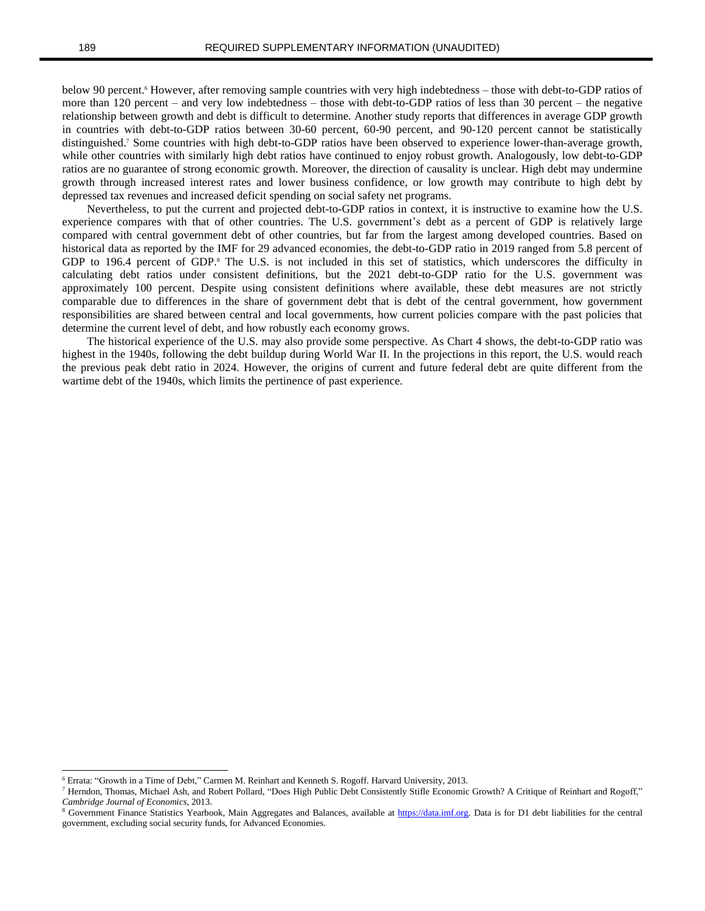below 90 percent.<sup>6</sup> However, after removing sample countries with very high indebtedness – those with debt-to-GDP ratios of more than 120 percent – and very low indebtedness – those with debt-to-GDP ratios of less than 30 percent – the negative relationship between growth and debt is difficult to determine. Another study reports that differences in average GDP growth in countries with debt-to-GDP ratios between 30-60 percent, 60-90 percent, and 90-120 percent cannot be statistically distinguished.<sup>7</sup> Some countries with high debt-to-GDP ratios have been observed to experience lower-than-average growth, while other countries with similarly high debt ratios have continued to enjoy robust growth. Analogously, low debt-to-GDP ratios are no guarantee of strong economic growth. Moreover, the direction of causality is unclear. High debt may undermine growth through increased interest rates and lower business confidence, or low growth may contribute to high debt by depressed tax revenues and increased deficit spending on social safety net programs.

Nevertheless, to put the current and projected debt-to-GDP ratios in context, it is instructive to examine how the U.S. experience compares with that of other countries. The U.S. government's debt as a percent of GDP is relatively large compared with central government debt of other countries, but far from the largest among developed countries. Based on historical data as reported by the IMF for 29 advanced economies, the debt-to-GDP ratio in 2019 ranged from 5.8 percent of GDP to 196.4 percent of GDP.<sup>8</sup> The U.S. is not included in this set of statistics, which underscores the difficulty in calculating debt ratios under consistent definitions, but the 2021 debt-to-GDP ratio for the U.S. government was approximately 100 percent. Despite using consistent definitions where available, these debt measures are not strictly comparable due to differences in the share of government debt that is debt of the central government, how government responsibilities are shared between central and local governments, how current policies compare with the past policies that determine the current level of debt, and how robustly each economy grows.

The historical experience of the U.S. may also provide some perspective. As Chart 4 shows, the debt-to-GDP ratio was highest in the 1940s, following the debt buildup during World War II. In the projections in this report, the U.S. would reach the previous peak debt ratio in 2024. However, the origins of current and future federal debt are quite different from the wartime debt of the 1940s, which limits the pertinence of past experience.

<sup>6</sup> Errata: "Growth in a Time of Debt," Carmen M. Reinhart and Kenneth S. Rogoff. Harvard University, 2013.

<sup>7</sup> Herndon, Thomas, Michael Ash, and Robert Pollard, "Does High Public Debt Consistently Stifle Economic Growth? A Critique of Reinhart and Rogoff," *Cambridge Journal of Economics*, 2013.

<sup>&</sup>lt;sup>8</sup> Government Finance Statistics Yearbook, Main Aggregates and Balances, available at [https://data.imf.org.](https://data.imf.org/?sk=388dfa60-1d26-4ade-b505-a05a558d9a42) Data is for D1 debt liabilities for the central government, excluding social security funds, for Advanced Economies.